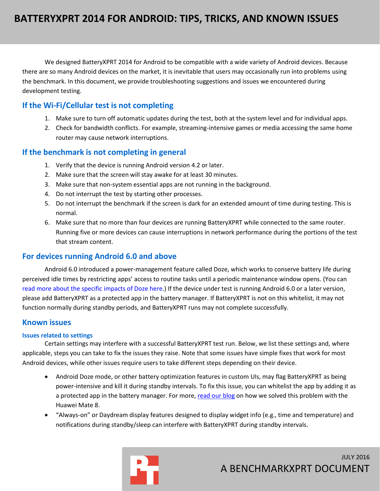We designed BatteryXPRT 2014 for Android to be compatible with a wide variety of Android devices. Because there are so many Android devices on the market, it is inevitable that users may occasionally run into problems using the benchmark. In this document, we provide troubleshooting suggestions and issues we encountered during development testing.

## **If the Wi-Fi/Cellular test is not completing**

- 1. Make sure to turn off automatic updates during the test, both at the system level and for individual apps.
- 2. Check for bandwidth conflicts. For example, streaming-intensive games or media accessing the same home router may cause network interruptions.

#### **If the benchmark is not completing in general**

- 1. Verify that the device is running Android version 4.2 or later.
- 2. Make sure that the screen will stay awake for at least 30 minutes.
- 3. Make sure that non-system essential apps are not running in the background.
- 4. Do not interrupt the test by starting other processes.
- 5. Do not interrupt the benchmark if the screen is dark for an extended amount of time during testing. This is normal.
- 6. Make sure that no more than four devices are running BatteryXPRT while connected to the same router. Running five or more devices can cause interruptions in network performance during the portions of the test that stream content.

## **For devices running Android 6.0 and above**

Android 6.0 introduced a power-management feature called Doze, which works to conserve battery life during perceived idle times by restricting apps' access to routine tasks until a periodic maintenance window opens. (You can [read more about the specific impacts of Doze here.](https://developer.android.com/training/monitoring-device-state/doze-standby.html)) If the device under test is running Android 6.0 or a later version, please add BatteryXPRT as a protected app in the battery manager. If BatteryXPRT is not on this whitelist, it may not function normally during standby periods, and BatteryXPRT runs may not complete successfully.

## **Known issues**

#### **Issues related to settings**

Certain settings may interfere with a successful BatteryXPRT test run. Below, we list these settings and, where applicable, steps you can take to fix the issues they raise. Note that some issues have simple fixes that work for most Android devices, while other issues require users to take different steps depending on their device.

- Android Doze mode, or other battery optimization features in custom UIs, may flag BatteryXPRT as being power-intensive and kill it during standby intervals. To fix this issue, you can whitelist the app by adding it as a protected app in the battery manager. For more, [read our blog](http://principledtechnologies.com/benchmarkxprt/blog/2016/05/12/sleep-studies/) on how we solved this problem with the Huawei Mate 8.
- "Always-on" or Daydream display features designed to display widget info (e.g., time and temperature) and notifications during standby/sleep can interfere with BatteryXPRT during standby intervals.

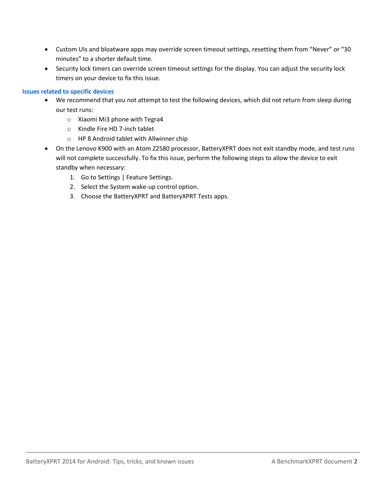- Custom UIs and bloatware apps may override screen timeout settings, resetting them from "Never" or "30 minutes" to a shorter default time.
- Security lock timers can override screen timeout settings for the display. You can adjust the security lock timers on your device to fix this issue.

#### **Issues related to specific devices**

- We recommend that you not attempt to test the following devices, which did not return from sleep during our test runs:
	- o Xiaomi Mi3 phone with Tegra4
	- o Kindle Fire HD 7-inch tablet
	- o HP 8 Android tablet with Allwinner chip
- On the Lenovo K900 with an Atom Z2580 processor, BatteryXPRT does not exit standby mode, and test runs will not complete successfully. To fix this issue, perform the following steps to allow the device to exit standby when necessary:
	- 1. Go to Settings | Feature Settings.
	- 2. Select the System wake-up control option.
	- 3. Choose the BatteryXPRT and BatteryXPRT Tests apps.